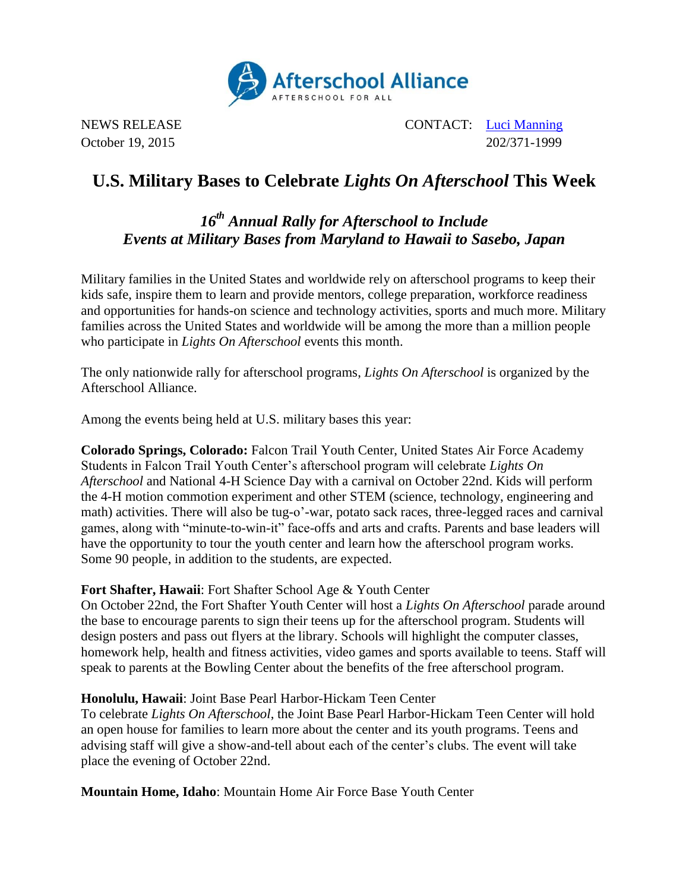

NEWS RELEASE CONTACT: [Luci Manning](mailto:luci@prsolutionsdc.com) October 19, 2015 202/371-1999

# **U.S. Military Bases to Celebrate** *Lights On Afterschool* **This Week**

# *16th Annual Rally for Afterschool to Include Events at Military Bases from Maryland to Hawaii to Sasebo, Japan*

Military families in the United States and worldwide rely on afterschool programs to keep their kids safe, inspire them to learn and provide mentors, college preparation, workforce readiness and opportunities for hands-on science and technology activities, sports and much more. Military families across the United States and worldwide will be among the more than a million people who participate in *Lights On Afterschool* events this month.

The only nationwide rally for afterschool programs, *Lights On Afterschool* is organized by the Afterschool Alliance.

Among the events being held at U.S. military bases this year:

**Colorado Springs, Colorado:** Falcon Trail Youth Center, United States Air Force Academy Students in Falcon Trail Youth Center's afterschool program will celebrate *Lights On Afterschool* and National 4-H Science Day with a carnival on October 22nd. Kids will perform the 4-H motion commotion experiment and other STEM (science, technology, engineering and math) activities. There will also be tug-o'-war, potato sack races, three-legged races and carnival games, along with "minute-to-win-it" face-offs and arts and crafts. Parents and base leaders will have the opportunity to tour the youth center and learn how the afterschool program works. Some 90 people, in addition to the students, are expected.

# **Fort Shafter, Hawaii**: Fort Shafter School Age & Youth Center

On October 22nd, the Fort Shafter Youth Center will host a *Lights On Afterschool* parade around the base to encourage parents to sign their teens up for the afterschool program. Students will design posters and pass out flyers at the library. Schools will highlight the computer classes, homework help, health and fitness activities, video games and sports available to teens. Staff will speak to parents at the Bowling Center about the benefits of the free afterschool program.

# **Honolulu, Hawaii**: Joint Base Pearl Harbor-Hickam Teen Center

To celebrate *Lights On Afterschool*, the Joint Base Pearl Harbor-Hickam Teen Center will hold an open house for families to learn more about the center and its youth programs. Teens and advising staff will give a show-and-tell about each of the center's clubs. The event will take place the evening of October 22nd.

**Mountain Home, Idaho**: Mountain Home Air Force Base Youth Center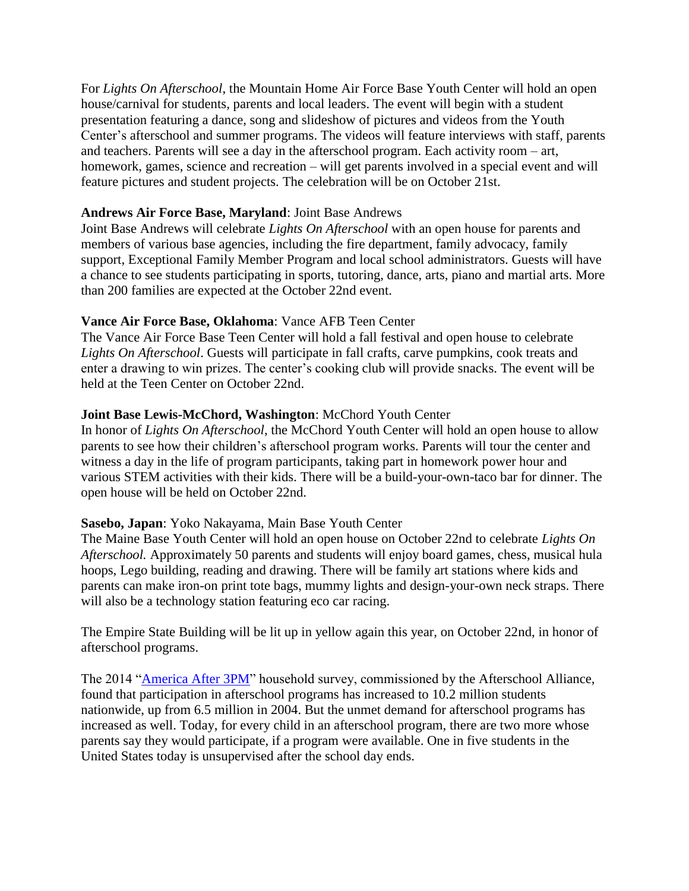For *Lights On Afterschool*, the Mountain Home Air Force Base Youth Center will hold an open house/carnival for students, parents and local leaders. The event will begin with a student presentation featuring a dance, song and slideshow of pictures and videos from the Youth Center's afterschool and summer programs. The videos will feature interviews with staff, parents and teachers. Parents will see a day in the afterschool program. Each activity room – art, homework, games, science and recreation – will get parents involved in a special event and will feature pictures and student projects. The celebration will be on October 21st.

#### **Andrews Air Force Base, Maryland**: Joint Base Andrews

Joint Base Andrews will celebrate *Lights On Afterschool* with an open house for parents and members of various base agencies, including the fire department, family advocacy, family support, Exceptional Family Member Program and local school administrators. Guests will have a chance to see students participating in sports, tutoring, dance, arts, piano and martial arts. More than 200 families are expected at the October 22nd event.

# **Vance Air Force Base, Oklahoma**: Vance AFB Teen Center

The Vance Air Force Base Teen Center will hold a fall festival and open house to celebrate *Lights On Afterschool*. Guests will participate in fall crafts, carve pumpkins, cook treats and enter a drawing to win prizes. The center's cooking club will provide snacks. The event will be held at the Teen Center on October 22nd.

# **Joint Base Lewis-McChord, Washington**: McChord Youth Center

In honor of *Lights On Afterschool*, the McChord Youth Center will hold an open house to allow parents to see how their children's afterschool program works. Parents will tour the center and witness a day in the life of program participants, taking part in homework power hour and various STEM activities with their kids. There will be a build-your-own-taco bar for dinner. The open house will be held on October 22nd.

# **Sasebo, Japan**: Yoko Nakayama, Main Base Youth Center

The Maine Base Youth Center will hold an open house on October 22nd to celebrate *Lights On Afterschool.* Approximately 50 parents and students will enjoy board games, chess, musical hula hoops, Lego building, reading and drawing. There will be family art stations where kids and parents can make iron-on print tote bags, mummy lights and design-your-own neck straps. There will also be a technology station featuring eco car racing.

The Empire State Building will be lit up in yellow again this year, on October 22nd, in honor of afterschool programs.

The 2014 ["America After 3PM"](http://www.afterschoolalliance.org/AA3PM/) household survey, commissioned by the Afterschool Alliance, found that participation in afterschool programs has increased to 10.2 million students nationwide, up from 6.5 million in 2004. But the unmet demand for afterschool programs has increased as well. Today, for every child in an afterschool program, there are two more whose parents say they would participate, if a program were available. One in five students in the United States today is unsupervised after the school day ends.